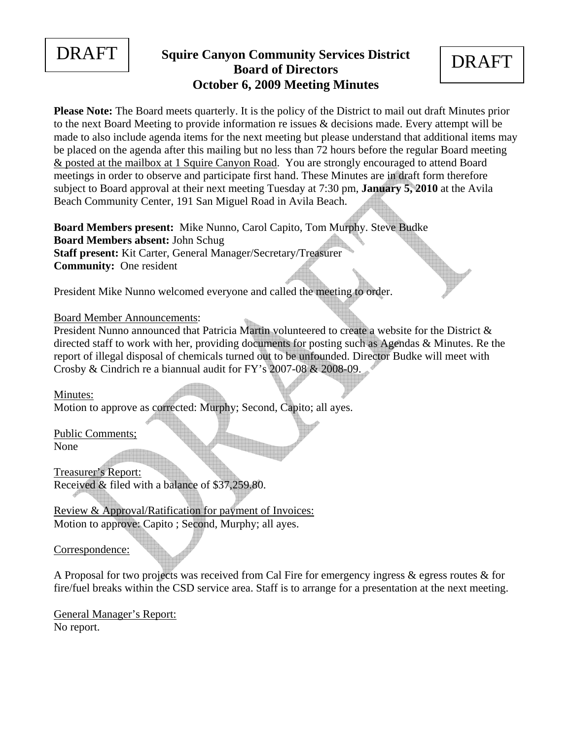

## **Squire Canyon Community Services District** DRAFT **Board of Directors October 6, 2009 Meeting Minutes**

**Please Note:** The Board meets quarterly. It is the policy of the District to mail out draft Minutes prior to the next Board Meeting to provide information re issues & decisions made. Every attempt will be made to also include agenda items for the next meeting but please understand that additional items may be placed on the agenda after this mailing but no less than 72 hours before the regular Board meeting & posted at the mailbox at 1 Squire Canyon Road. You are strongly encouraged to attend Board meetings in order to observe and participate first hand. These Minutes are in draft form therefore subject to Board approval at their next meeting Tuesday at 7:30 pm, **January 5, 2010** at the Avila Beach Community Center, 191 San Miguel Road in Avila Beach.

**Board Members present:** Mike Nunno, Carol Capito, Tom Murphy. Steve Budke **Board Members absent:** John Schug **Staff present:** Kit Carter, General Manager/Secretary/Treasurer **Community:** One resident

President Mike Nunno welcomed everyone and called the meeting to order.

Board Member Announcements:

President Nunno announced that Patricia Martin volunteered to create a website for the District & directed staff to work with her, providing documents for posting such as Agendas & Minutes. Re the report of illegal disposal of chemicals turned out to be unfounded. Director Budke will meet with Crosby & Cindrich re a biannual audit for FY's 2007-08 & 2008-09.

Minutes:

Motion to approve as corrected: Murphy; Second, Capito; all ayes.

Public Comments; None

Treasurer's Report: Received & filed with a balance of \$37,259.80.

Review & Approval/Ratification for payment of Invoices: Motion to approve: Capito ; Second, Murphy; all ayes.

Correspondence:

A Proposal for two projects was received from Cal Fire for emergency ingress & egress routes & for fire/fuel breaks within the CSD service area. Staff is to arrange for a presentation at the next meeting.

General Manager's Report: No report.